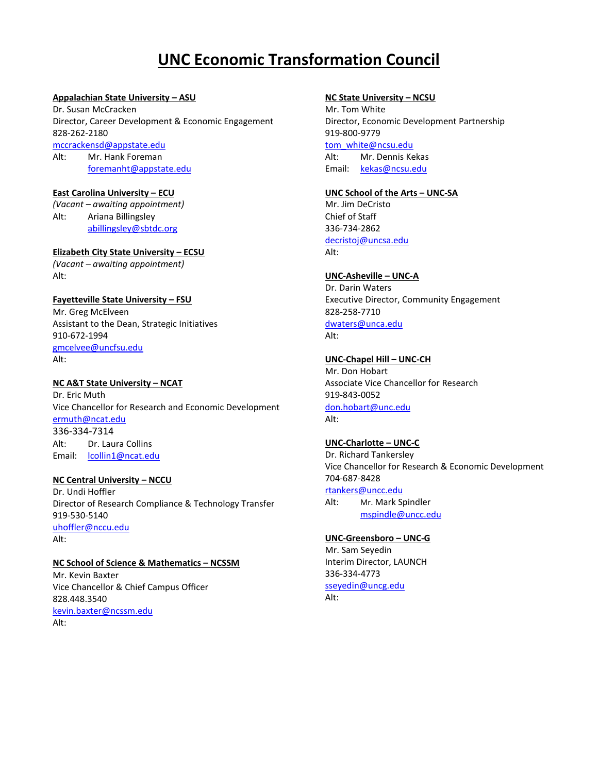# **UNC Economic Transformation Council**

#### **Appalachian State University – ASU**

Dr. Susan McCracken Director, Career Development & Economic Engagement 828-262-2180 [mccrackensd@appstate.edu](mailto:mccrackensd@appstate.edu) Alt: Mr. Hank Foreman [foremanht@appstate.edu](mailto:foremanht@appstate.edu)

#### **East Carolina University – ECU**

*(Vacant – awaiting appointment)* Alt: Ariana Billingsley [abillingsley@sbtdc.org](mailto:abillingsley@sbtdc.org)

#### **Elizabeth City State University – ECSU**

*(Vacant – awaiting appointment)* Alt:

# **Fayetteville State University – FSU**

Mr. Greg McElveen Assistant to the Dean, Strategic Initiatives 910-672-1994 [gmcelvee@uncfsu.edu](mailto:gmcelvee@uncfsu.edu)  Alt:

#### **NC A&T State University – NCAT**

Dr. Eric Muth Vice Chancellor for Research and Economic Development [ermuth@ncat.edu](mailto:ermuth@ncat.edu) 336-334-7314 Alt: Dr. Laura Collins Email: lcollin1@ncat.edu

## **NC Central University – NCCU**

Dr. Undi Hoffler Director of Research Compliance & Technology Transfer 919-530-5140 [uhoffler@nccu.edu](mailto:uhoffler@nccu.edu) Alt:

# **NC School of Science & Mathematics – NCSSM**

Mr. Kevin Baxter Vice Chancellor & Chief Campus Officer 828.448.3540 [kevin.baxter@ncssm.edu](mailto:kevin.baxter@ncssm.edu) Alt:

## **NC State University – NCSU**

Mr. Tom White Director, Economic Development Partnership [919-800-9779](tel:(919)%20800-9779) [tom\\_white@ncsu.edu](mailto:tom_white@ncsu.edu) Alt: Mr. Dennis Kekas Email: [kekas@ncsu.edu](mailto:kekas@ncsu.edu)

#### **UNC School of the Arts – UNC-SA**

Mr. Jim DeCristo Chief of Staff 336-734-2862 [decristoj@uncsa.edu](mailto:decristoj@uncsa.edu) Alt:

## **UNC-Asheville – UNC-A**

Dr. Darin Waters Executive Director, Community Engagement 828-258-7710 [dwaters@unca.edu](mailto:dwaters@unca.edu) Alt:

# **UNC-Chapel Hill – UNC-CH**

Mr. Don Hobart Associate Vice Chancellor for Research 919-843-0052 [don.hobart@unc.edu](mailto:don.hobart@unc.edu) Alt:

## **UNC-Charlotte – UNC-C**

Dr. Richard Tankersley Vice Chancellor for Research & Economic Development 704-687-8428 [rtankers@uncc.edu](mailto:rgwilhel@uncc.edu)

Alt: Mr. Mark Spindler [mspindle@uncc.edu](mailto:mspindle@uncc.edu)

## **UNC-Greensboro – UNC-G**

Mr. Sam Seyedin Interim Director, LAUNCH 336-334-4773 [sseyedin@uncg.edu](mailto:sseyedin@uncg.edu)

Alt: